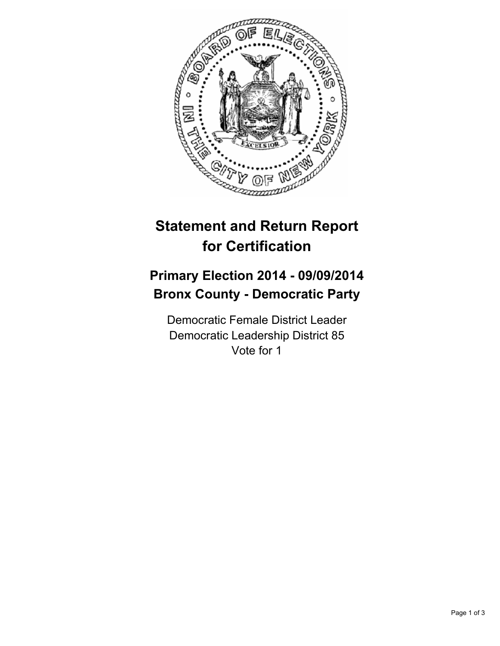

## **Statement and Return Report for Certification**

## **Primary Election 2014 - 09/09/2014 Bronx County - Democratic Party**

Democratic Female District Leader Democratic Leadership District 85 Vote for 1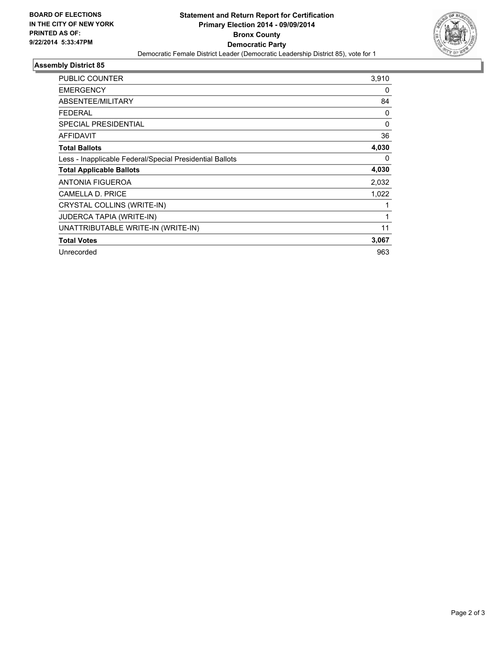

## **Assembly District 85**

| <b>PUBLIC COUNTER</b>                                    | 3,910        |
|----------------------------------------------------------|--------------|
| <b>EMERGENCY</b>                                         | 0            |
| ABSENTEE/MILITARY                                        | 84           |
| <b>FEDERAL</b>                                           | 0            |
| <b>SPECIAL PRESIDENTIAL</b>                              | 0            |
| <b>AFFIDAVIT</b>                                         | 36           |
| <b>Total Ballots</b>                                     | 4,030        |
| Less - Inapplicable Federal/Special Presidential Ballots | 0            |
| <b>Total Applicable Ballots</b>                          | 4,030        |
| <b>ANTONIA FIGUEROA</b>                                  | 2,032        |
| <b>CAMELLA D. PRICE</b>                                  | 1,022        |
| CRYSTAL COLLINS (WRITE-IN)                               |              |
| <b>JUDERCA TAPIA (WRITE-IN)</b>                          | $\mathbf{1}$ |
| UNATTRIBUTABLE WRITE-IN (WRITE-IN)                       | 11           |
| <b>Total Votes</b>                                       | 3,067        |
| Unrecorded                                               | 963          |